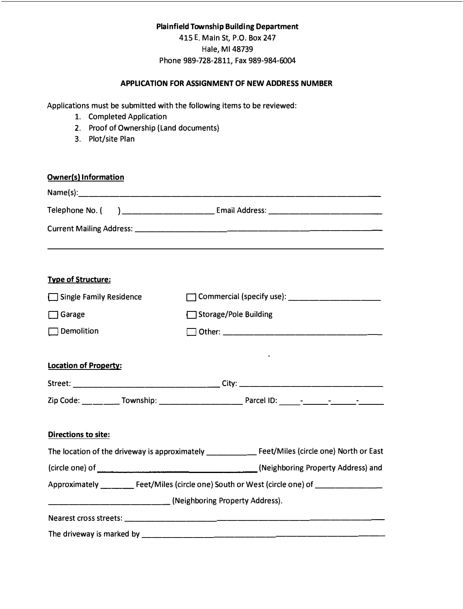# **Plainfield Township Building Department**

415 E. Main St, P.O. Box 247 Hale, Ml 48739 Phone 989-728-2811, Fax 989-984-6004

## **APPLICATION FOR ASSIGNMENT OF NEW ADDRESS NUMBER**

Applications must be submitted with the following items to be reviewed:

- 1. Completed Application
- 2. Proof of Ownership (Land documents)
- 3. Plot/site Plan

| <b>Owner(s) Information</b>  |                                                                                                                         |
|------------------------------|-------------------------------------------------------------------------------------------------------------------------|
|                              |                                                                                                                         |
| Telephone No. (              |                                                                                                                         |
|                              |                                                                                                                         |
| <b>Type of Structure:</b>    |                                                                                                                         |
| Single Family Residence      |                                                                                                                         |
| $\Box$ Garage                | Storage/Pole Building                                                                                                   |
| Demolition                   |                                                                                                                         |
| <b>Location of Property:</b> |                                                                                                                         |
|                              |                                                                                                                         |
|                              |                                                                                                                         |
| <b>Directions to site:</b>   |                                                                                                                         |
|                              | The location of the driveway is approximately ___________________________________ Feet/Miles (circle one) North or East |
|                              |                                                                                                                         |
|                              | Approximately ___________ Feet/Miles (circle one) South or West (circle one) of ______________                          |
|                              | (Neighboring Property Address).                                                                                         |
|                              |                                                                                                                         |
|                              |                                                                                                                         |